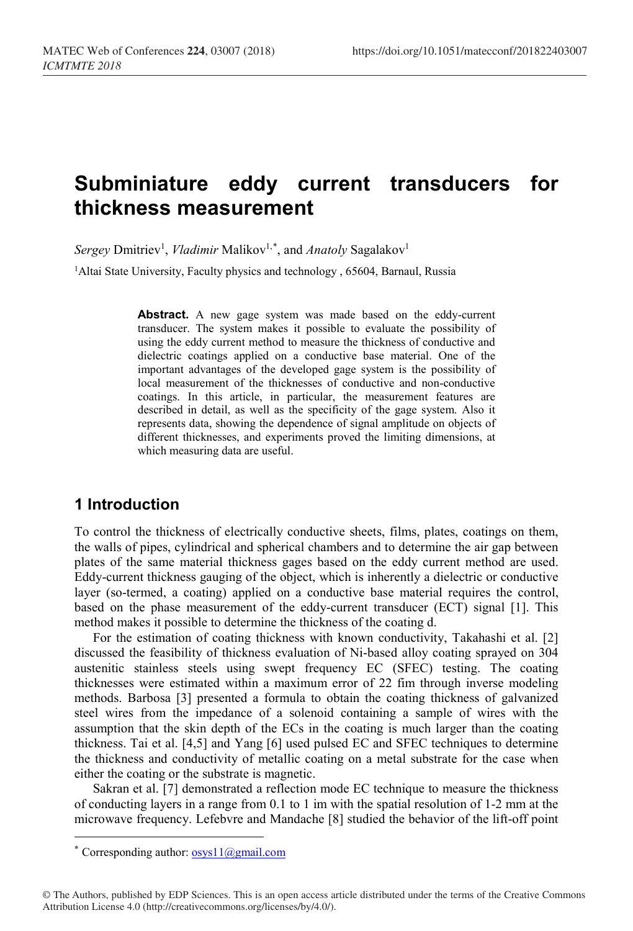# **Subminiature eddy current transducers for thickness measurement**

 $Sergey$  Dmitriev<sup>1</sup>, *Vladimir* Malikov<sup>1,[\\*](#page-0-0)</sup>, and *Anatoly* Sagalakov<sup>1</sup>

<sup>1</sup>Altai State University, Faculty physics and technology, 65604, Barnaul, Russia

**Abstract.** A new gage system was made based on the eddy-current transducer. The system makes it possible to evaluate the possibility of using the eddy current method to measure the thickness of conductive and dielectric coatings applied on a conductive base material. One of the important advantages of the developed gage system is the possibility of local measurement of the thicknesses of conductive and non-conductive coatings. In this article, in particular, the measurement features are described in detail, as well as the specificity of the gage system. Also it represents data, showing the dependence of signal amplitude on objects of different thicknesses, and experiments proved the limiting dimensions, at which measuring data are useful.

## **1 Introduction**

To control the thickness of electrically conductive sheets, films, plates, coatings on them, the walls of pipes, cylindrical and spherical chambers and to determine the air gap between plates of the same material thickness gages based on the eddy current method are used. Eddy-current thickness gauging of the object, which is inherently a dielectric or conductive layer (so-termed, a coating) applied on a conductive base material requires the control, based on the phase measurement of the eddy-current transducer (ECT) signal [1]. This method makes it possible to determine the thickness of the coating d.

For the estimation of coating thickness with known conductivity, Takahashi et al. [2] discussed the feasibility of thickness evaluation of Ni-based alloy coating sprayed on 304 austenitic stainless steels using swept frequency EC (SFEC) testing. The coating thicknesses were estimated within a maximum error of 22 fim through inverse modeling methods. Barbosa [3] presented a formula to obtain the coating thickness of galvanized steel wires from the impedance of a solenoid containing a sample of wires with the assumption that the skin depth of the ECs in the coating is much larger than the coating thickness. Tai et al. [4,5] and Yang [6] used pulsed EC and SFEC techniques to determine the thickness and conductivity of metallic coating on a metal substrate for the case when either the coating or the substrate is magnetic.

Sakran et al. [7] demonstrated a reflection mode EC technique to measure the thickness of conducting layers in a range from 0.1 to 1 im with the spatial resolution of 1-2 mm at the microwave frequency. Lefebvre and Mandache [8] studied the behavior of the lift-off point

l

<span id="page-0-0"></span><sup>\*</sup> Corresponding author:  $\frac{\text{cosyl}}{\text{cosyl}}$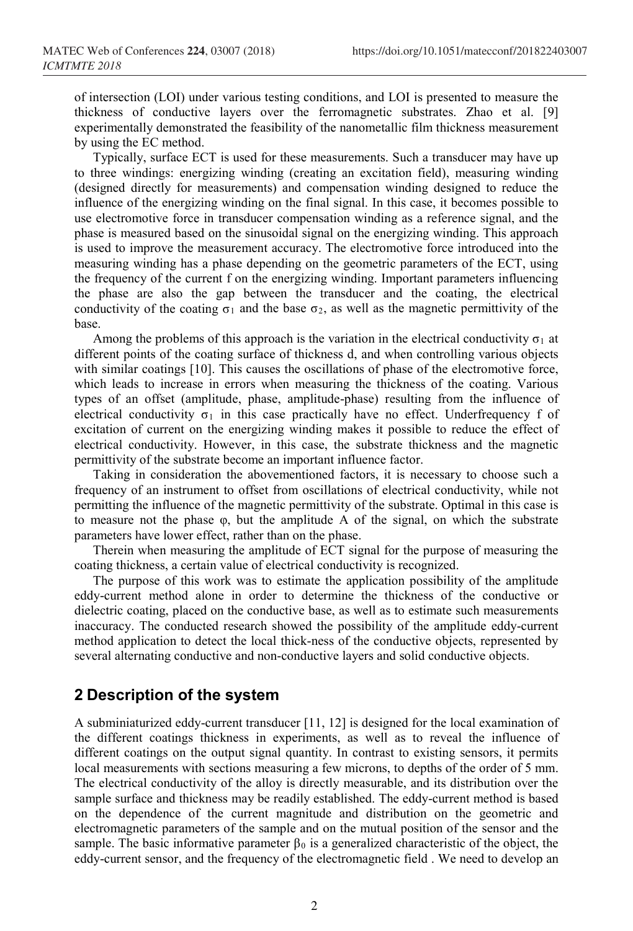of intersection (LOI) under various testing conditions, and LOI is presented to measure the thickness of conductive layers over the ferromagnetic substrates. Zhao et al. [9] experimentally demonstrated the feasibility of the nanometallic film thickness measurement by using the EC method.

Typically, surface ECT is used for these measurements. Such a transducer may have up to three windings: energizing winding (creating an excitation field), measuring winding (designed directly for measurements) and compensation winding designed to reduce the influence of the energizing winding on the final signal. In this case, it becomes possible to use electromotive force in transducer compensation winding as a reference signal, and the phase is measured based on the sinusoidal signal on the energizing winding. This approach is used to improve the measurement accuracy. The electromotive force introduced into the measuring winding has a phase depending on the geometric parameters of the ECT, using the frequency of the current f on the energizing winding. Important parameters influencing the phase are also the gap between the transducer and the coating, the electrical conductivity of the coating  $\sigma_1$  and the base  $\sigma_2$ , as well as the magnetic permittivity of the base.

Among the problems of this approach is the variation in the electrical conductivity  $\sigma_1$  at different points of the coating surface of thickness d, and when controlling various objects with similar coatings [10]. This causes the oscillations of phase of the electromotive force, which leads to increase in errors when measuring the thickness of the coating. Various types of an offset (amplitude, phase, amplitude-phase) resulting from the influence of electrical conductivity  $\sigma_1$  in this case practically have no effect. Underfrequency f of excitation of current on the energizing winding makes it possible to reduce the effect of electrical conductivity. However, in this case, the substrate thickness and the magnetic permittivity of the substrate become an important influence factor.

Taking in consideration the abovementioned factors, it is necessary to choose such a frequency of an instrument to offset from oscillations of electrical conductivity, while not permitting the influence of the magnetic permittivity of the substrate. Optimal in this case is to measure not the phase φ, but the amplitude A of the signal, on which the substrate parameters have lower effect, rather than on the phase.

Therein when measuring the amplitude of ECT signal for the purpose of measuring the coating thickness, a certain value of electrical conductivity is recognized.

The purpose of this work was to estimate the application possibility of the amplitude eddy-current method alone in order to determine the thickness of the conductive or dielectric coating, placed on the conductive base, as well as to estimate such measurements inaccuracy. The conducted research showed the possibility of the amplitude eddy-current method application to detect the local thick-ness of the conductive objects, represented by several alternating conductive and non-conductive layers and solid conductive objects.

### **2 Description of the system**

A subminiaturized eddy-current transducer [11, 12] is designed for the local examination of the different coatings thickness in experiments, as well as to reveal the influence of different coatings on the output signal quantity. In contrast to existing sensors, it permits local measurements with sections measuring a few microns, to depths of the order of 5 mm. The electrical conductivity of the alloy is directly measurable, and its distribution over the sample surface and thickness may be readily established. The eddy-current method is based on the dependence of the current magnitude and distribution on the geometric and electromagnetic parameters of the sample and on the mutual position of the sensor and the sample. The basic informative parameter  $\beta_0$  is a generalized characteristic of the object, the eddy-current sensor, and the frequency of the electromagnetic field . We need to develop an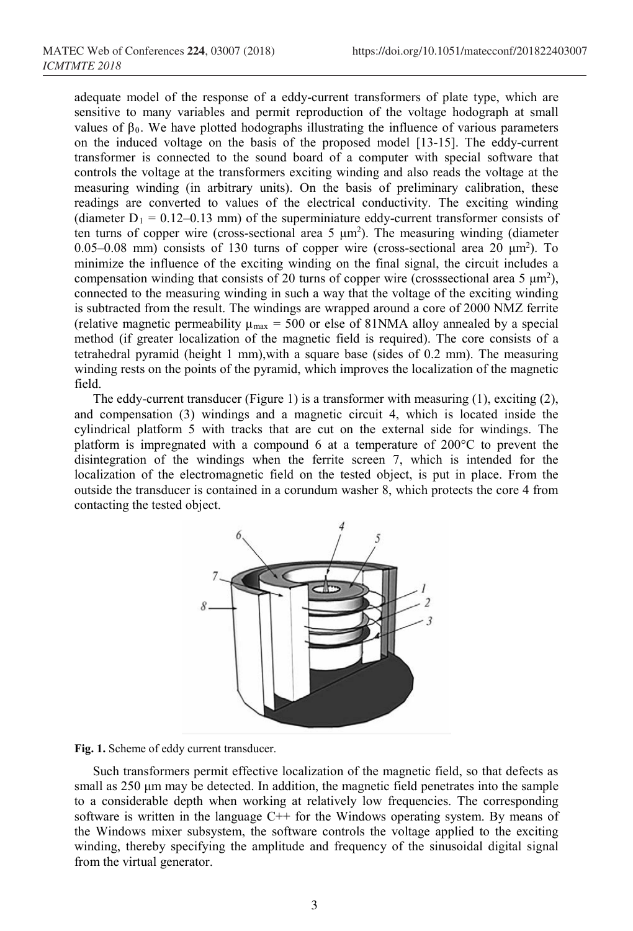adequate model of the response of a eddy-current transformers of plate type, which are sensitive to many variables and permit reproduction of the voltage hodograph at small values of  $β_0$ . We have plotted hodographs illustrating the influence of various parameters on the induced voltage on the basis of the proposed model [13-15]. The eddy-current transformer is connected to the sound board of a computer with special software that controls the voltage at the transformers exciting winding and also reads the voltage at the measuring winding (in arbitrary units). On the basis of preliminary calibration, these readings are converted to values of the electrical conductivity. The exciting winding (diameter  $D_1 = 0.12 - 0.13$  mm) of the superminiature eddy-current transformer consists of ten turns of copper wire (cross-sectional area 5  $\mu$ m<sup>2</sup>). The measuring winding (diameter  $0.05-0.08$  mm) consists of 130 turns of copper wire (cross-sectional area 20  $\mu$ m<sup>2</sup>). To minimize the influence of the exciting winding on the final signal, the circuit includes a compensation winding that consists of 20 turns of copper wire (crosssectional area  $5 \mu m^2$ ), connected to the measuring winding in such a way that the voltage of the exciting winding is subtracted from the result. The windings are wrapped around a core of 2000 NMZ ferrite (relative magnetic permeability  $\mu_{\text{max}} = 500$  or else of 81NMA alloy annealed by a special method (if greater localization of the magnetic field is required). The core consists of a tetrahedral pyramid (height 1 mm),with a square base (sides of 0.2 mm). The measuring winding rests on the points of the pyramid, which improves the localization of the magnetic field.

The eddy-current transducer (Figure 1) is a transformer with measuring (1), exciting (2), and compensation (3) windings and a magnetic circuit 4, which is located inside the cylindrical platform 5 with tracks that are cut on the external side for windings. The platform is impregnated with a compound 6 at a temperature of 200°C to prevent the disintegration of the windings when the ferrite screen 7, which is intended for the localization of the electromagnetic field on the tested object, is put in place. From the outside the transducer is contained in a corundum washer 8, which protects the core 4 from contacting the tested object.



**Fig. 1.** Scheme of eddy current transducer.

Such transformers permit effective localization of the magnetic field, so that defects as small as 250 μm may be detected. In addition, the magnetic field penetrates into the sample to a considerable depth when working at relatively low frequencies. The corresponding software is written in the language C++ for the Windows operating system. By means of the Windows mixer subsystem, the software controls the voltage applied to the exciting winding, thereby specifying the amplitude and frequency of the sinusoidal digital signal from the virtual generator.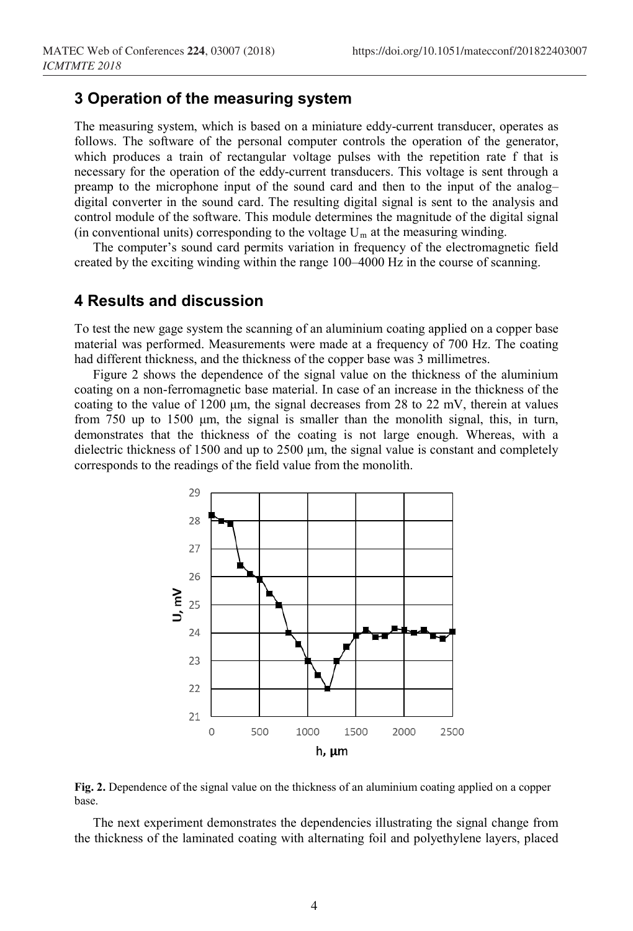### **3 Operation of the measuring system**

The measuring system, which is based on a miniature eddy-current transducer, operates as follows. The software of the personal computer controls the operation of the generator, which produces a train of rectangular voltage pulses with the repetition rate f that is necessary for the operation of the eddy-current transducers. This voltage is sent through a preamp to the microphone input of the sound card and then to the input of the analog– digital converter in the sound card. The resulting digital signal is sent to the analysis and control module of the software. This module determines the magnitude of the digital signal (in conventional units) corresponding to the voltage  $U_m$  at the measuring winding.

The computer's sound card permits variation in frequency of the electromagnetic field created by the exciting winding within the range 100–4000 Hz in the course of scanning.

#### **4 Results and discussion**

To test the new gage system the scanning of an aluminium coating applied on a copper base material was performed. Measurements were made at a frequency of 700 Hz. The coating had different thickness, and the thickness of the copper base was 3 millimetres.

Figure 2 shows the dependence of the signal value on the thickness of the aluminium coating on a non-ferromagnetic base material. In case of an increase in the thickness of the coating to the value of 1200 μm, the signal decreases from 28 to 22 mV, therein at values from 750 up to 1500 μm, the signal is smaller than the monolith signal, this, in turn, demonstrates that the thickness of the coating is not large enough. Whereas, with a dielectric thickness of 1500 and up to 2500 μm, the signal value is constant and completely corresponds to the readings of the field value from the monolith.





The next experiment demonstrates the dependencies illustrating the signal change from the thickness of the laminated coating with alternating foil and polyethylene layers, placed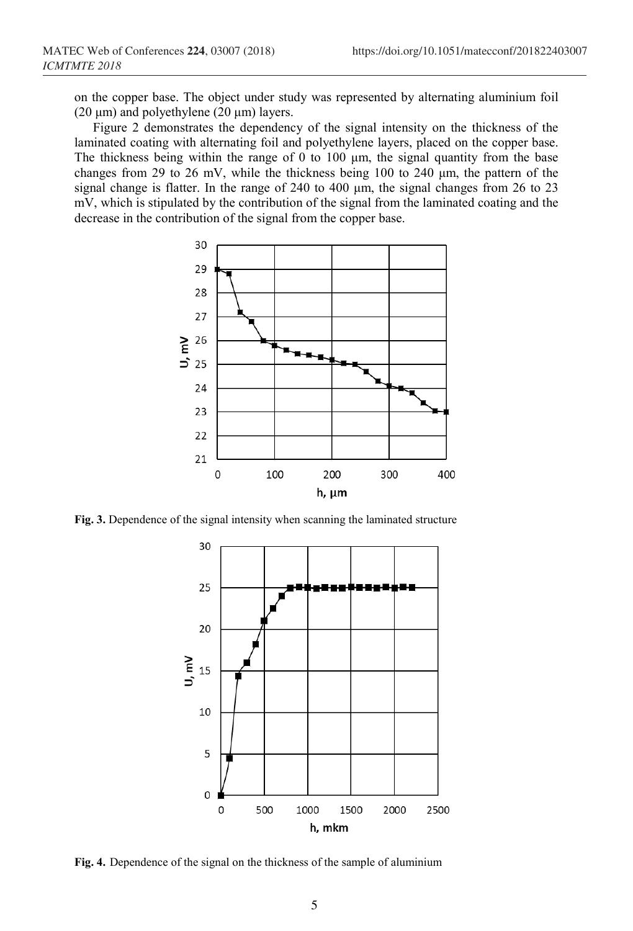on the copper base. The object under study was represented by alternating aluminium foil (20  $\mu$ m) and polyethylene (20  $\mu$ m) layers.

Figure 2 demonstrates the dependency of the signal intensity on the thickness of the laminated coating with alternating foil and polyethylene layers, placed on the copper base. The thickness being within the range of  $0$  to  $100 \mu m$ , the signal quantity from the base changes from 29 to 26 mV, while the thickness being 100 to 240 μm, the pattern of the signal change is flatter. In the range of 240 to 400 μm, the signal changes from 26 to 23 mV, which is stipulated by the contribution of the signal from the laminated coating and the decrease in the contribution of the signal from the copper base.



**Fig. 3.** Dependence of the signal intensity when scanning the laminated structure



**Fig. 4.** Dependence of the signal on the thickness of the sample of aluminium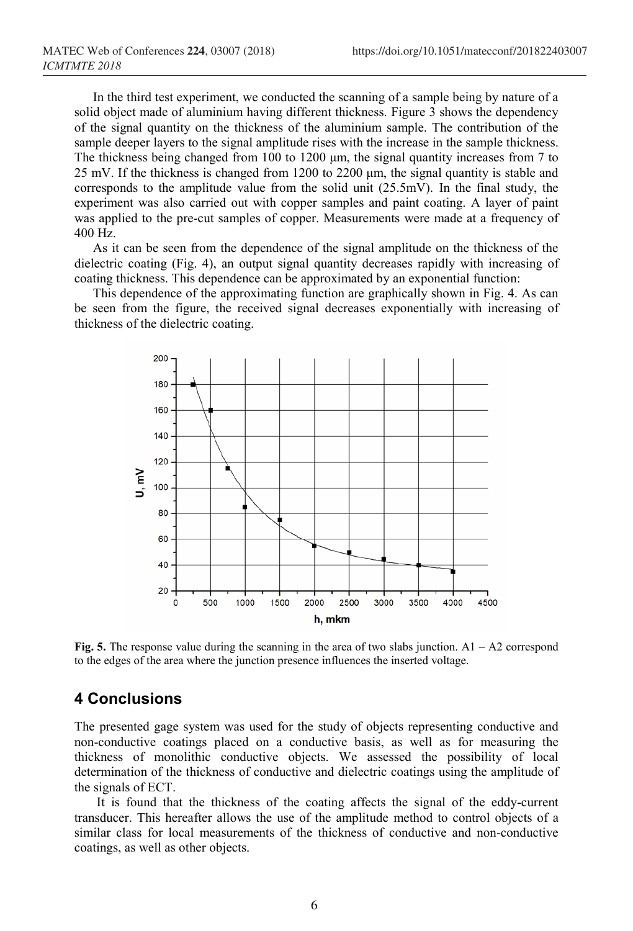In the third test experiment, we conducted the scanning of a sample being by nature of a solid object made of aluminium having different thickness. Figure 3 shows the dependency of the signal quantity on the thickness of the aluminium sample. The contribution of the sample deeper layers to the signal amplitude rises with the increase in the sample thickness. The thickness being changed from 100 to 1200 μm, the signal quantity increases from 7 to 25 mV. If the thickness is changed from 1200 to 2200 μm, the signal quantity is stable and corresponds to the amplitude value from the solid unit (25.5mV). In the final study, the experiment was also carried out with copper samples and paint coating. A layer of paint was applied to the pre-cut samples of copper. Measurements were made at a frequency of 400 Hz.

As it can be seen from the dependence of the signal amplitude on the thickness of the dielectric coating (Fig. 4), an output signal quantity decreases rapidly with increasing of coating thickness. This dependence can be approximated by an exponential function:

This dependence of the approximating function are graphically shown in Fig. 4. As can be seen from the figure, the received signal decreases exponentially with increasing of thickness of the dielectric coating.



**Fig. 5.** The response value during the scanning in the area of two slabs junction. A1 – A2 correspond to the edges of the area where the junction presence influences the inserted voltage.

### **4 Conclusions**

The presented gage system was used for the study of objects representing conductive and non-conductive coatings placed on a conductive basis, as well as for measuring the thickness of monolithic conductive objects. We assessed the possibility of local determination of the thickness of conductive and dielectric coatings using the amplitude of the signals of ECT.

It is found that the thickness of the coating affects the signal of the eddy-current transducer. This hereafter allows the use of the amplitude method to control objects of a similar class for local measurements of the thickness of conductive and non-conductive coatings, as well as other objects.